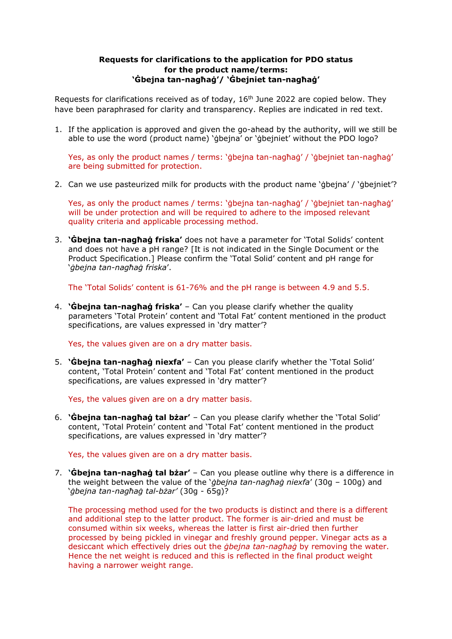## **Requests for clarifications to the application for PDO status for the product name/terms: 'Ġbejna tan-nagħaġ'/ 'Ġbejniet tan-nagħaġ'**

Requests for clarifications received as of today,  $16<sup>th</sup>$  June 2022 are copied below. They have been paraphrased for clarity and transparency. Replies are indicated in red text.

1. If the application is approved and given the go-ahead by the authority, will we still be able to use the word (product name) 'gbeina' or 'gbeiniet' without the PDO logo?

Yes, as only the product names / terms: 'ġbejna tan-nagħaġ' / 'ġbejniet tan-nagħaġ' are being submitted for protection.

2. Can we use pasteurized milk for products with the product name 'ġbejna' / 'ġbejniet'?

Yes, as only the product names / terms: 'ġbejna tan-nagħaġ' / 'ġbejniet tan-nagħaġ' will be under protection and will be required to adhere to the imposed relevant quality criteria and applicable processing method.

3. **'Ġbejna tan-nagħaġ friska'** does not have a parameter for 'Total Solids' content and does not have a pH range? [It is not indicated in the Single Document or the Product Specification.] Please confirm the 'Total Solid' content and pH range for '*ġbejna tan-nagħaġ friska*'.

The 'Total Solids' content is 61-76% and the pH range is between 4.9 and 5.5.

4. **'Ġbejna tan-nagħaġ friska'** – Can you please clarify whether the quality parameters 'Total Protein' content and 'Total Fat' content mentioned in the product specifications, are values expressed in 'dry matter'?

Yes, the values given are on a dry matter basis.

5. **'Ġbejna tan-nagħaġ niexfa'** – Can you please clarify whether the 'Total Solid' content, 'Total Protein' content and 'Total Fat' content mentioned in the product specifications, are values expressed in 'dry matter'?

Yes, the values given are on a dry matter basis.

6. **'Ġbejna tan-nagħaġ tal bżar'** – Can you please clarify whether the 'Total Solid' content, 'Total Protein' content and 'Total Fat' content mentioned in the product specifications, are values expressed in 'dry matter'?

Yes, the values given are on a dry matter basis.

7. **'Ġbejna tan-nagħaġ tal bżar'** – Can you please outline why there is a difference in the weight between the value of the '*ġbejna tan-nagħaġ niexfa*' (30g – 100g) and '*ġbejna tan-nagħaġ tal-bżar'* (30g - 65g)?

The processing method used for the two products is distinct and there is a different and additional step to the latter product. The former is air-dried and must be consumed within six weeks, whereas the latter is first air-dried then further processed by being pickled in vinegar and freshly ground pepper. Vinegar acts as a desiccant which effectively dries out the *ġbejna tan-nagħaġ* by removing the water. Hence the net weight is reduced and this is reflected in the final product weight having a narrower weight range.